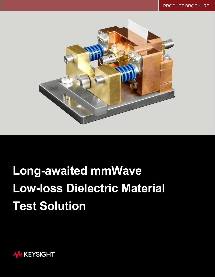

# **Long-awaited mmWave Low-loss Dielectric Material Test Solution**

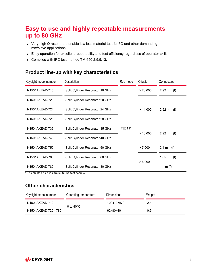## **Easy to use and highly repeatable measurements up to 80 GHz**

- Very high Q resonators enable low loss material test for 5G and other demanding mmWave applications.
- Easy operation for excellent repeatability and test efficiency regardless of operator skills.
- Complies with IPC test method TM-650 2.5.5.13.

#### **Product line-up with key characteristics**

| Keysight model number | Description                     | Res mode | Q factor | Connectors    |
|-----------------------|---------------------------------|----------|----------|---------------|
| N1501AKEAD-710        | Split Cylinder Resonator 10 GHz |          | > 20,000 | $2.92$ mm (f) |
| N1501AKEAD-720        | Split Cylinder Resonator 20 GHz |          |          |               |
| N1501AKEAD-724        | Split Cylinder Resonator 24 GHz |          | > 14,000 | $2.92$ mm (f) |
| N1501AKEAD-728        | Split Cylinder Resonator 28 GHz |          |          |               |
| N1501AKEAD-735        | Split Cylinder Resonator 35 GHz | TE011*   |          |               |
| N1501AKEAD-740        | Split Cylinder Resonator 40 GHz |          | > 10,000 | $2.92$ mm (f) |
| N1501AKEAD-750        | Split Cylinder Resonator 50 GHz |          | > 7,000  | 2.4 mm $(f)$  |
| N1501AKEAD-760        | Split Cylinder Resonator 60 GHz |          |          | 1.85 mm $(f)$ |
| N1501AKEAD-780        | Split Cylinder Resonator 80 GHz |          | > 6,000  | 1 mm $(f)$    |

\* The electric field is parallel to the test sample.

#### **Other characteristics**

| Keysight model number | Operating temperature | <b>Dimensions</b> | Weight |
|-----------------------|-----------------------|-------------------|--------|
| N1501AKEAD-710        | 0 to $40^{\circ}$ C   | 100x105x70        | 2.4    |
| N1501AKEAD 720 - 780  |                       | 62x80x40          | 0.9    |

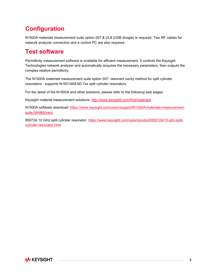## **Configuration**

N1500A materials measurement suite option 007 & UL8 (USB dongle) is required. Two RF cables for network analyzer connection and a control PC are also required.

## **Test software**

Permittivity measurement software is available for efficient measurement. It controls the Keysight Technologies network analyzer and automatically acquires the necessary parameters, then outputs the complex relative permittivity.

The N1500A materials measurement suite option 007- resonant cavity method for split cylinder resonators - supports N1501AKEAD-7xx split cylinder resonators.

For the detail of the N1500A and other solutions, please refer to the following web pages:

Keysight material measurement solutions:<http://www.keysight.com/find/materials>

N1500A software download: [https://www.keysight.com/us/en/support/N1500A/materials-measurement](https://www.keysight.com/us/en/support/N1500A/materials-measurement-suite.html#drivers)[suite.html#drivers](https://www.keysight.com/us/en/support/N1500A/materials-measurement-suite.html#drivers)

85072A 10 GHz split cylinder resonator: [https://www.keysight.com/us/en/product/85072A/10-ghz-split](https://www.keysight.com/us/en/product/85072A/10-ghz-split-cylinder-resonator.html)[cylinder-resonator.html](https://www.keysight.com/us/en/product/85072A/10-ghz-split-cylinder-resonator.html)